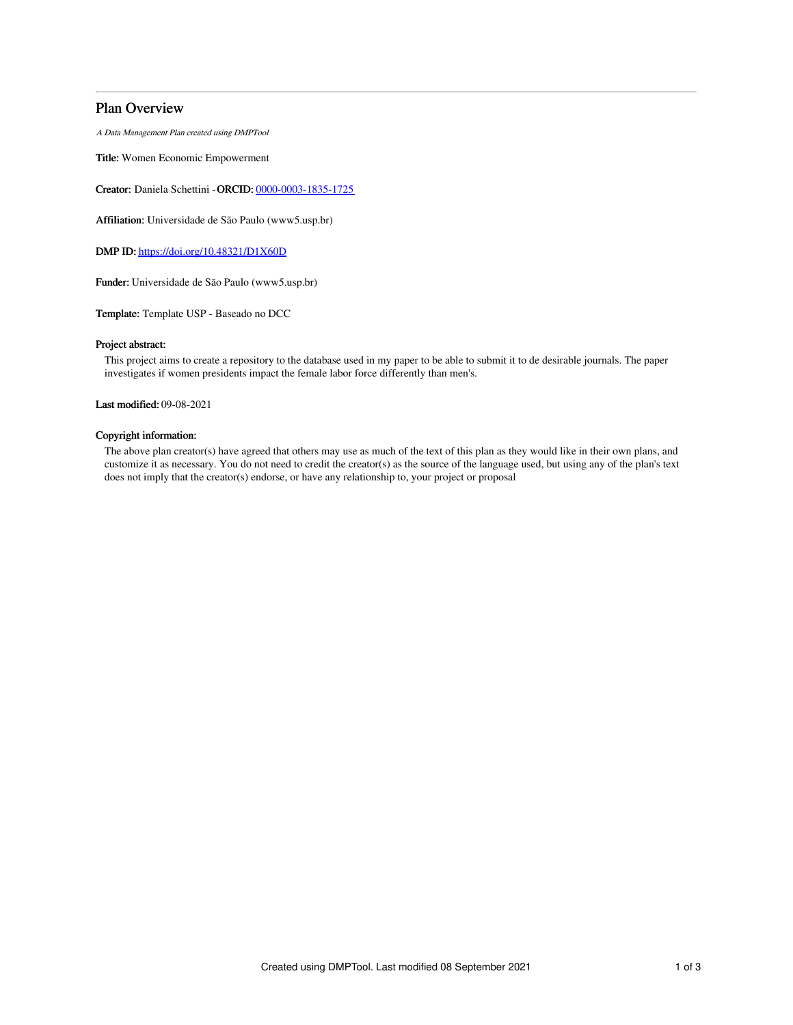## Plan Overview

A Data Management Plan created using DMPTool

Title: Women Economic Empowerment

Creator: Daniela Schettini -ORCID: [0000-0003-1835-1725](https://orcid.org/0000-0003-1835-1725)

Affiliation: Universidade de São Paulo (www5.usp.br)

DMP ID: <https://doi.org/10.48321/D1X60D>

Funder: Universidade de São Paulo (www5.usp.br)

Template: Template USP - Baseado no DCC

#### Project abstract:

This project aims to create a repository to the database used in my paper to be able to submit it to de desirable journals. The paper investigates if women presidents impact the female labor force differently than men's.

Last modified: 09-08-2021

### Copyright information:

The above plan creator(s) have agreed that others may use as much of the text of this plan as they would like in their own plans, and customize it as necessary. You do not need to credit the creator(s) as the source of the language used, but using any of the plan's text does not imply that the creator(s) endorse, or have any relationship to, your project or proposal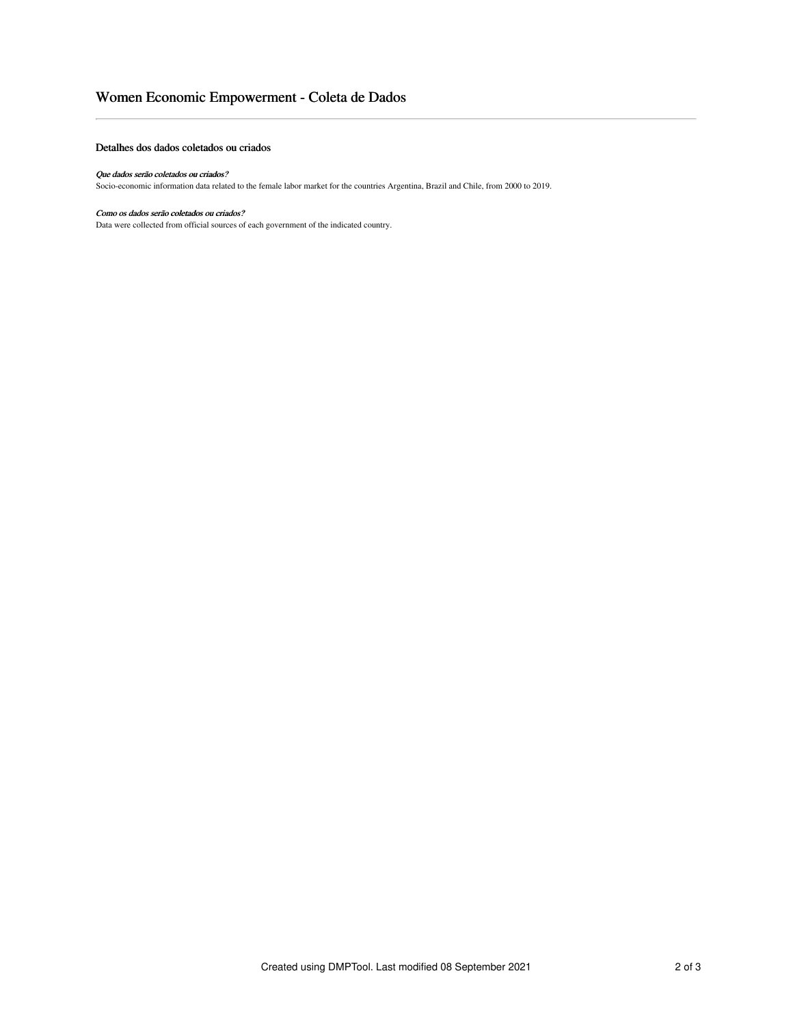# Women Economic Empowerment - Coleta de Dados

#### Detalhes dos dados coletados ou criados

#### Que dados serão coletados ou criados?

Socio-economic information data related to the female labor market for the countries Argentina, Brazil and Chile, from 2000 to 2019.

### Como os dados serão coletados ou criados?

Data were collected from official sources of each government of the indicated country.